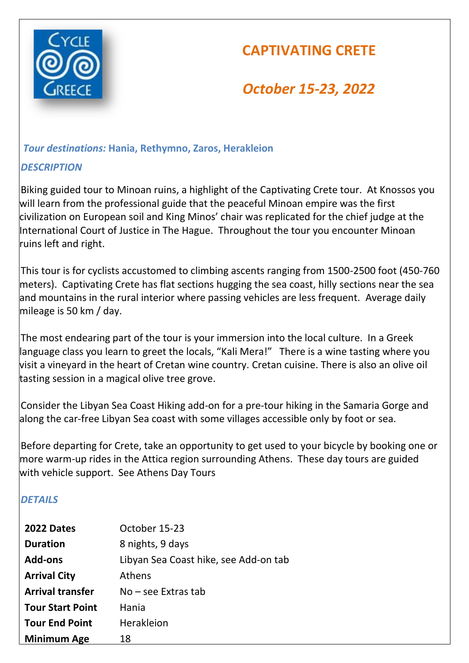

# **CAPTIVATING CRETE**

# *October 15-23, 2022*

# *Tour destinations:* **Hania, Rethymno, Zaros, Herakleion**

# *DESCRIPTION*

 Biking guided tour to Minoan ruins, a highlight of the Captivating Crete tour. At Knossos you will learn from the professional guide that the peaceful Minoan empire was the first civilization on European soil and King Minos' chair was replicated for the chief judge at the International Court of Justice in The Hague. Throughout the tour you encounter Minoan ruins left and right.

 This tour is for cyclists accustomed to climbing ascents ranging from 1500-2500 foot (450-760 meters). Captivating Crete has flat sections hugging the sea coast, hilly sections near the sea and mountains in the rural interior where passing vehicles are less frequent. Average daily mileage is 50 km / day.

 The most endearing part of the tour is your immersion into the local culture. In a Greek language class you learn to greet the locals, "Kali Mera!" There is a wine tasting where you visit a vineyard in the heart of Cretan wine country. Cretan cuisine. There is also an olive oil tasting session in a magical olive tree grove.

 Consider the Libyan Sea Coast Hiking add-on for a pre-tour hiking in the Samaria Gorge and along the car-free Libyan Sea coast with some villages accessible only by foot or sea.

 Before departing for Crete, take an opportunity to get used to your bicycle by booking one or more warm-up rides in the Attica region surrounding Athens. These day tours are guided with vehicle support. See Athens Day Tours

# *DETAILS*

| 2022 Dates              | October 15-23                         |
|-------------------------|---------------------------------------|
| <b>Duration</b>         | 8 nights, 9 days                      |
| <b>Add-ons</b>          | Libyan Sea Coast hike, see Add-on tab |
| <b>Arrival City</b>     | <b>Athens</b>                         |
| <b>Arrival transfer</b> | $No - see$ Extras tab                 |
| <b>Tour Start Point</b> | Hania                                 |
| <b>Tour End Point</b>   | <b>Herakleion</b>                     |
| <b>Minimum Age</b>      | 18                                    |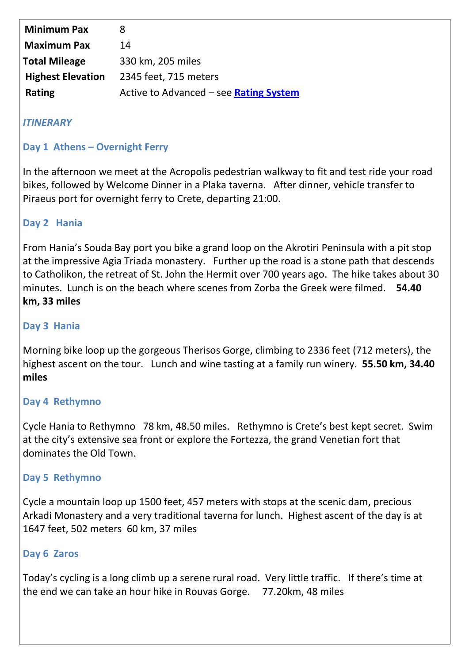| <b>Minimum Pax</b>       | 8                                      |
|--------------------------|----------------------------------------|
| <b>Maximum Pax</b>       | 14                                     |
| <b>Total Mileage</b>     | 330 km, 205 miles                      |
| <b>Highest Elevation</b> | 2345 feet, 715 meters                  |
| <b>Rating</b>            | Active to Advanced - see Rating System |

# *ITINERARY*

## **Day 1 Athens – Overnight Ferry**

In the afternoon we meet at the Acropolis pedestrian walkway to fit and test ride your road bikes, followed by Welcome Dinner in a Plaka taverna. After dinner, vehicle transfer to Piraeus port for overnight ferry to Crete, departing 21:00.

# **Day 2 Hania**

From Hania's Souda Bay port you bike a grand loop on the Akrotiri Peninsula with a pit stop at the impressive Agia Triada monastery. Further up the road is a stone path that descends to Catholikon, the retreat of St. John the Hermit over 700 years ago. The hike takes about 30 minutes. Lunch is on the beach where scenes from Zorba the Greek were filmed. **54.40 km, 33 miles**

## **Day 3 Hania**

Morning bike loop up the gorgeous Therisos Gorge, climbing to 2336 feet (712 meters), the highest ascent on the tour. Lunch and wine tasting at a family run winery. **55.50 km, 34.40 miles**

## **Day 4 Rethymno**

Cycle Hania to Rethymno 78 km, 48.50 miles. Rethymno is Crete's best kept secret. Swim at the city's extensive sea front or explore the Fortezza, the grand Venetian fort that dominates the Old Town.

## **Day 5 Rethymno**

Cycle a mountain loop up 1500 feet, 457 meters with stops at the scenic dam, precious Arkadi Monastery and a very traditional taverna for lunch. Highest ascent of the day is at 1647 feet, 502 meters 60 km, 37 miles

## **Day 6 Zaros**

Today's cycling is a long climb up a serene rural road. Very little traffic. If there's time at the end we can take an hour hike in Rouvas Gorge. 77.20km, 48 miles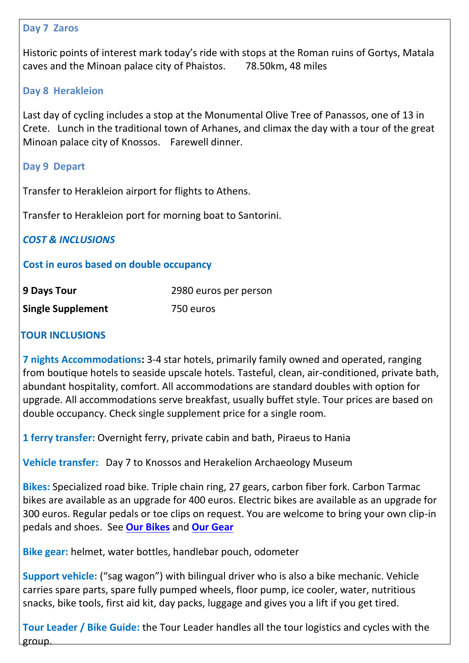#### **Day 7 Zaros**

Historic points of interest mark today's ride with stops at the Roman ruins of Gortys, Matala caves and the Minoan palace city of Phaistos. 78.50km, 48 miles

#### **Day 8 Herakleion**

Last day of cycling includes a stop at the Monumental Olive Tree of Panassos, one of 13 in Crete. Lunch in the traditional town of Arhanes, and climax the day with a tour of the great Minoan palace city of Knossos. Farewell dinner.

#### **Day 9 Depart**

Transfer to Herakleion airport for flights to Athens.

Transfer to Herakleion port for morning boat to Santorini.

*COST & INCLUSIONS*

#### **Cost in euros based on double occupancy**

| <b>9 Days Tour</b>       | 2980 euros per person |
|--------------------------|-----------------------|
| <b>Single Supplement</b> | 750 euros             |

## **TOUR INCLUSIONS**

**7 nights Accommodations:** 3-4 star hotels, primarily family owned and operated, ranging from boutique hotels to seaside upscale hotels. Tasteful, clean, air-conditioned, private bath, abundant hospitality, comfort. All accommodations are standard doubles with option for upgrade. All accommodations serve breakfast, usually buffet style. Tour prices are based on double occupancy. Check single supplement price for a single room.

**1 ferry transfer:** Overnight ferry, private cabin and bath, Piraeus to Hania

**Vehicle transfer:** Day 7 to Knossos and Herakelion Archaeology Museum

**Bikes:** Specialized road bike. Triple chain ring, 27 gears, carbon fiber fork. Carbon Tarmac bikes are available as an upgrade for 400 euros. Electric bikes are available as an upgrade for 300 euros. Regular pedals or toe clips on request. You are welcome to bring your own clip-in pedals and shoes. See **[Our Bikes](https://cyclegreece.com/our-bikes/)** and **[Our Gear](https://cyclegreece.com/our-gear/)**

**Bike gear:** helmet, water bottles, handlebar pouch, odometer

**Support vehicle:** ("sag wagon") with bilingual driver who is also a bike mechanic. Vehicle carries spare parts, spare fully pumped wheels, floor pump, ice cooler, water, nutritious snacks, bike tools, first aid kit, day packs, luggage and gives you a lift if you get tired.

**Tour Leader / Bike Guide:** the Tour Leader handles all the tour logistics and cycles with the group.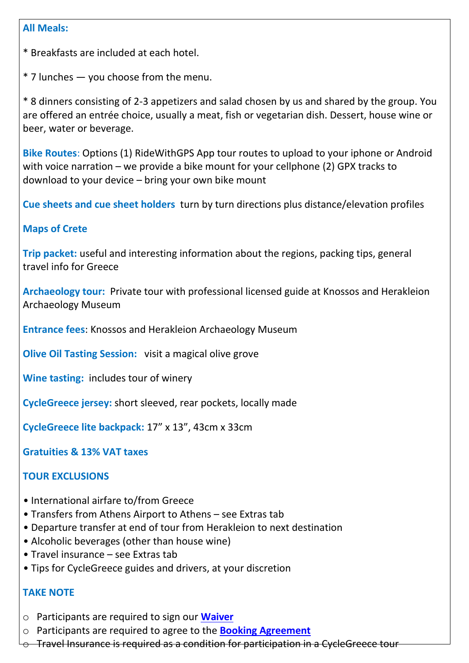#### **All Meals:**

\* Breakfasts are included at each hotel.

\* 7 lunches — you choose from the menu.

\* 8 dinners consisting of 2-3 appetizers and salad chosen by us and shared by the group. You are offered an entrée choice, usually a meat, fish or vegetarian dish. Dessert, house wine or beer, water or beverage.

**Bike Routes**: Options (1) RideWithGPS App tour routes to upload to your iphone or Android with voice narration – we provide a bike mount for your cellphone (2) GPX tracks to download to your device – bring your own bike mount

**Cue sheets and cue sheet holders** turn by turn directions plus distance/elevation profiles

## **Maps of Crete**

**Trip packet:** useful and interesting information about the regions, packing tips, general travel info for Greece

**Archaeology tour:** Private tour with professional licensed guide at Knossos and Herakleion Archaeology Museum

**Entrance fees**: Knossos and Herakleion Archaeology Museum

**Olive Oil Tasting Session:** visit a magical olive grove

**Wine tasting:** includes tour of winery

**CycleGreece jersey:** short sleeved, rear pockets, locally made

**CycleGreece lite backpack:** 17" x 13", 43cm x 33cm

**Gratuities & 13% VAT taxes**

## **TOUR EXCLUSIONS**

- International airfare to/from Greece
- Transfers from Athens Airport to Athens see Extras tab
- Departure transfer at end of tour from Herakleion to next destination
- Alcoholic beverages (other than house wine)
- Travel insurance see Extras tab
- Tips for CycleGreece guides and drivers, at your discretion

## **TAKE NOTE**

- o Participants are required to sign our **[Waiver](https://cyclegreece.com/wp-content/uploads/2019/07/Waiver_CycleGreece_-Release-2020.pdf)**
- o Participants are required to agree to the **[Booking Agreement](https://cyclegreece.com/wp-content/uploads/2021/01/Booking-Agreement-CycleGreece.pdf)**
- $\circ$  Travel Insurance is required as a condition for participation in a CycleGreece tour